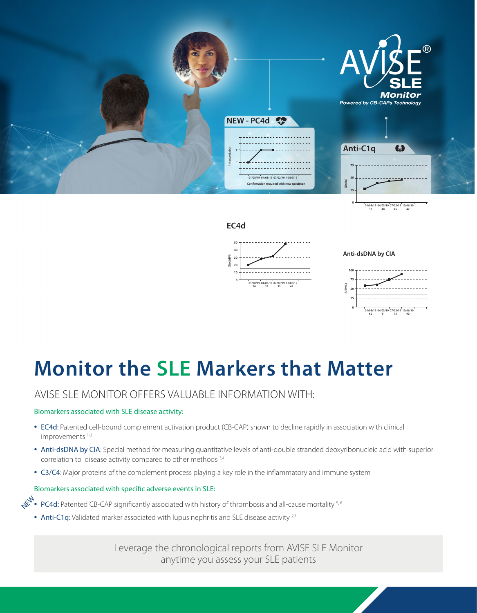

# **Monitor the SLE Markers that Matter**

## AVISE SLE MONITOR OFFERS VALUABLE INFORMATION WITH:

#### Biomarkers associated with SLE disease activity:

- EC4d: Patented cell-bound complement activation product (CB-CAP) shown to decline rapidly in association with clinical improvements<sup>1-3</sup>
- Anti-dsDNA by CIA: Special method for measuring quantitative levels of anti-double stranded deoxyribonucleic acid with superior correlation to disease activity compared to other methods 3,4
- C3/C4: Major proteins of the complement process playing a key role in the inflammatory and immune system

#### Biomarkers associated with specific adverse events in SLE:

- PC4d: Patented CB-CAP significantly associated with history of thrombosis and all-cause mortality 5, 6 NEW
	- Anti-C1q: Validated marker associated with lupus nephritis and SLE disease activity <sup>2,7</sup>

Leverage the chronological reports from AVISE SLE Monitor anytime you assess your SLE patients